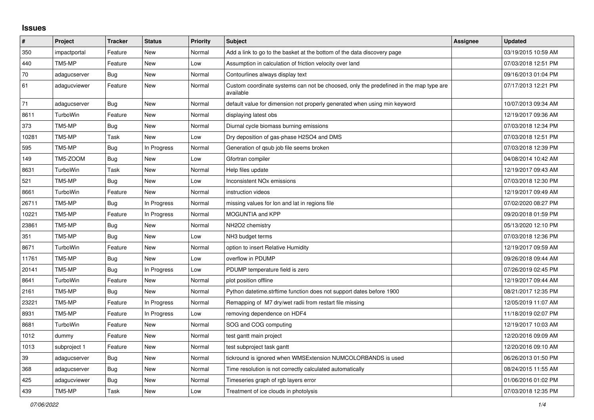## **Issues**

| #     | Project      | <b>Tracker</b> | <b>Status</b> | <b>Priority</b> | <b>Subject</b>                                                                                     | Assignee | <b>Updated</b>      |
|-------|--------------|----------------|---------------|-----------------|----------------------------------------------------------------------------------------------------|----------|---------------------|
| 350   | impactportal | Feature        | New           | Normal          | Add a link to go to the basket at the bottom of the data discovery page                            |          | 03/19/2015 10:59 AM |
| 440   | TM5-MP       | Feature        | <b>New</b>    | Low             | Assumption in calculation of friction velocity over land                                           |          | 07/03/2018 12:51 PM |
| 70    | adagucserver | Bug            | <b>New</b>    | Normal          | Contourlines always display text                                                                   |          | 09/16/2013 01:04 PM |
| 61    | adagucviewer | Feature        | New           | Normal          | Custom coordinate systems can not be choosed, only the predefined in the map type are<br>available |          | 07/17/2013 12:21 PM |
| 71    | adagucserver | Bug            | New           | Normal          | default value for dimension not properly generated when using min keyword                          |          | 10/07/2013 09:34 AM |
| 8611  | TurboWin     | Feature        | New           | Normal          | displaying latest obs                                                                              |          | 12/19/2017 09:36 AM |
| 373   | TM5-MP       | <b>Bug</b>     | New           | Normal          | Diurnal cycle biomass burning emissions                                                            |          | 07/03/2018 12:34 PM |
| 10281 | TM5-MP       | Task           | New           | Low             | Dry deposition of gas-phase H2SO4 and DMS                                                          |          | 07/03/2018 12:51 PM |
| 595   | TM5-MP       | Bug            | In Progress   | Normal          | Generation of gsub job file seems broken                                                           |          | 07/03/2018 12:39 PM |
| 149   | TM5-ZOOM     | Bug            | <b>New</b>    | Low             | Gfortran compiler                                                                                  |          | 04/08/2014 10:42 AM |
| 8631  | TurboWin     | Task           | <b>New</b>    | Normal          | Help files update                                                                                  |          | 12/19/2017 09:43 AM |
| 521   | TM5-MP       | Bug            | New           | Low             | Inconsistent NO <sub>x</sub> emissions                                                             |          | 07/03/2018 12:30 PM |
| 8661  | TurboWin     | Feature        | <b>New</b>    | Normal          | instruction videos                                                                                 |          | 12/19/2017 09:49 AM |
| 26711 | TM5-MP       | Bug            | In Progress   | Normal          | missing values for lon and lat in regions file                                                     |          | 07/02/2020 08:27 PM |
| 10221 | TM5-MP       | Feature        | In Progress   | Normal          | <b>MOGUNTIA and KPP</b>                                                                            |          | 09/20/2018 01:59 PM |
| 23861 | TM5-MP       | Bug            | <b>New</b>    | Normal          | NH2O2 chemistry                                                                                    |          | 05/13/2020 12:10 PM |
| 351   | TM5-MP       | Bug            | <b>New</b>    | Low             | NH3 budget terms                                                                                   |          | 07/03/2018 12:36 PM |
| 8671  | TurboWin     | Feature        | New           | Normal          | option to insert Relative Humidity                                                                 |          | 12/19/2017 09:59 AM |
| 11761 | TM5-MP       | Bug            | New           | Low             | overflow in PDUMP                                                                                  |          | 09/26/2018 09:44 AM |
| 20141 | TM5-MP       | Bug            | In Progress   | Low             | PDUMP temperature field is zero                                                                    |          | 07/26/2019 02:45 PM |
| 8641  | TurboWin     | Feature        | New           | Normal          | plot position offline                                                                              |          | 12/19/2017 09:44 AM |
| 2161  | TM5-MP       | <b>Bug</b>     | New           | Normal          | Python datetime.strftime function does not support dates before 1900                               |          | 08/21/2017 12:35 PM |
| 23221 | TM5-MP       | Feature        | In Progress   | Normal          | Remapping of M7 dry/wet radii from restart file missing                                            |          | 12/05/2019 11:07 AM |
| 8931  | TM5-MP       | Feature        | In Progress   | Low             | removing dependence on HDF4                                                                        |          | 11/18/2019 02:07 PM |
| 8681  | TurboWin     | Feature        | New           | Normal          | SOG and COG computing                                                                              |          | 12/19/2017 10:03 AM |
| 1012  | dummy        | Feature        | New           | Normal          | test gantt main project                                                                            |          | 12/20/2016 09:09 AM |
| 1013  | subproject 1 | Feature        | New           | Normal          | test subproject task gantt                                                                         |          | 12/20/2016 09:10 AM |
| 39    | adagucserver | Bug            | New           | Normal          | tickround is ignored when WMSExtension NUMCOLORBANDS is used                                       |          | 06/26/2013 01:50 PM |
| 368   | adagucserver | <b>Bug</b>     | New           | Normal          | Time resolution is not correctly calculated automatically                                          |          | 08/24/2015 11:55 AM |
| 425   | adagucviewer | Bug            | New           | Normal          | Timeseries graph of rgb layers error                                                               |          | 01/06/2016 01:02 PM |
| 439   | TM5-MP       | Task           | <b>New</b>    | Low             | Treatment of ice clouds in photolysis                                                              |          | 07/03/2018 12:35 PM |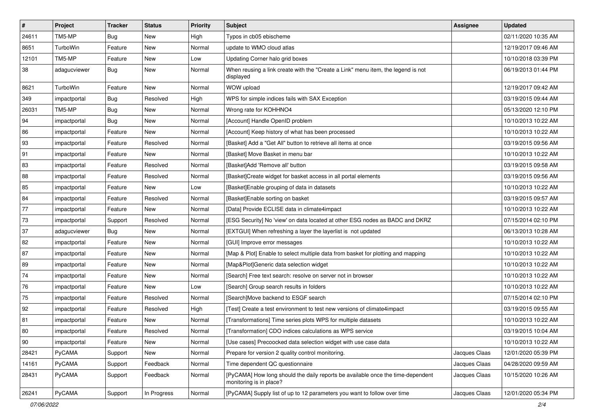| $\sharp$   | Project      | <b>Tracker</b> | <b>Status</b> | <b>Priority</b> | Subject                                                                                                    | Assignee      | <b>Updated</b>      |
|------------|--------------|----------------|---------------|-----------------|------------------------------------------------------------------------------------------------------------|---------------|---------------------|
| 24611      | TM5-MP       | <b>Bug</b>     | New           | High            | Typos in cb05 ebischeme                                                                                    |               | 02/11/2020 10:35 AM |
| 8651       | TurboWin     | Feature        | New           | Normal          | update to WMO cloud atlas                                                                                  |               | 12/19/2017 09:46 AM |
| 12101      | TM5-MP       | Feature        | New           | Low             | Updating Corner halo grid boxes                                                                            |               | 10/10/2018 03:39 PM |
| 38         | adagucviewer | Bug            | <b>New</b>    | Normal          | When reusing a link create with the "Create a Link" menu item, the legend is not<br>displayed              |               | 06/19/2013 01:44 PM |
| 8621       | TurboWin     | Feature        | New           | Normal          | WOW upload                                                                                                 |               | 12/19/2017 09:42 AM |
| 349        | impactportal | Bug            | Resolved      | High            | WPS for simple indices fails with SAX Exception                                                            |               | 03/19/2015 09:44 AM |
| 26031      | TM5-MP       | <b>Bug</b>     | New           | Normal          | Wrong rate for KOHHNO4                                                                                     |               | 05/13/2020 12:10 PM |
| 94         | impactportal | <b>Bug</b>     | New           | Normal          | [Account] Handle OpenID problem                                                                            |               | 10/10/2013 10:22 AM |
| 86         | impactportal | Feature        | New           | Normal          | [Account] Keep history of what has been processed                                                          |               | 10/10/2013 10:22 AM |
| 93         | impactportal | Feature        | Resolved      | Normal          | [Basket] Add a "Get All" button to retrieve all items at once                                              |               | 03/19/2015 09:56 AM |
| 91         | impactportal | Feature        | New           | Normal          | [Basket] Move Basket in menu bar                                                                           |               | 10/10/2013 10:22 AM |
| 83         | impactportal | Feature        | Resolved      | Normal          | [Basket]Add 'Remove all' button                                                                            |               | 03/19/2015 09:58 AM |
| 88         | impactportal | Feature        | Resolved      | Normal          | [Basket]Create widget for basket access in all portal elements                                             |               | 03/19/2015 09:56 AM |
| 85         | impactportal | Feature        | New           | Low             | [Basket] Enable grouping of data in datasets                                                               |               | 10/10/2013 10:22 AM |
| 84         | impactportal | Feature        | Resolved      | Normal          | [Basket]Enable sorting on basket                                                                           |               | 03/19/2015 09:57 AM |
| 77         | impactportal | Feature        | New           | Normal          | [Data] Provide ECLISE data in climate4impact                                                               |               | 10/10/2013 10:22 AM |
| $73\,$     | impactportal | Support        | Resolved      | Normal          | [ESG Security] No 'view' on data located at other ESG nodes as BADC and DKRZ                               |               | 07/15/2014 02:10 PM |
| 37         | adagucviewer | Bug            | New           | Normal          | [EXTGUI] When refreshing a layer the layerlist is not updated                                              |               | 06/13/2013 10:28 AM |
| 82         | impactportal | Feature        | <b>New</b>    | Normal          | [GUI] Improve error messages                                                                               |               | 10/10/2013 10:22 AM |
| 87         | impactportal | Feature        | New           | Normal          | [Map & Plot] Enable to select multiple data from basket for plotting and mapping                           |               | 10/10/2013 10:22 AM |
| 89         | impactportal | Feature        | New           | Normal          | [Map&Plot]Generic data selection widget                                                                    |               | 10/10/2013 10:22 AM |
| 74         | impactportal | Feature        | New           | Normal          | [Search] Free text search: resolve on server not in browser                                                |               | 10/10/2013 10:22 AM |
| ${\bf 76}$ | impactportal | Feature        | New           | Low             | [Search] Group search results in folders                                                                   |               | 10/10/2013 10:22 AM |
| $75\,$     | impactportal | Feature        | Resolved      | Normal          | [Search]Move backend to ESGF search                                                                        |               | 07/15/2014 02:10 PM |
| 92         | impactportal | Feature        | Resolved      | High            | [Test] Create a test environment to test new versions of climate4impact                                    |               | 03/19/2015 09:55 AM |
| 81         | impactportal | Feature        | New           | Normal          | [Transformations] Time series plots WPS for multiple datasets                                              |               | 10/10/2013 10:22 AM |
| 80         | impactportal | Feature        | Resolved      | Normal          | [Transformation] CDO indices calculations as WPS service                                                   |               | 03/19/2015 10:04 AM |
| 90         | impactportal | Feature        | New           | Normal          | [Use cases] Precoocked data selection widget with use case data                                            |               | 10/10/2013 10:22 AM |
| 28421      | PyCAMA       | Support        | New           | Normal          | Prepare for version 2 quality control monitoring.                                                          | Jacques Claas | 12/01/2020 05:39 PM |
| 14161      | PyCAMA       | Support        | Feedback      | Normal          | Time dependent QC questionnaire                                                                            | Jacques Claas | 04/28/2020 09:59 AM |
| 28431      | PyCAMA       | Support        | Feedback      | Normal          | [PyCAMA] How long should the daily reports be available once the time-dependent<br>monitoring is in place? | Jacques Claas | 10/15/2020 10:26 AM |
| 26241      | PyCAMA       | Support        | In Progress   | Normal          | [PyCAMA] Supply list of up to 12 parameters you want to follow over time                                   | Jacques Claas | 12/01/2020 05:34 PM |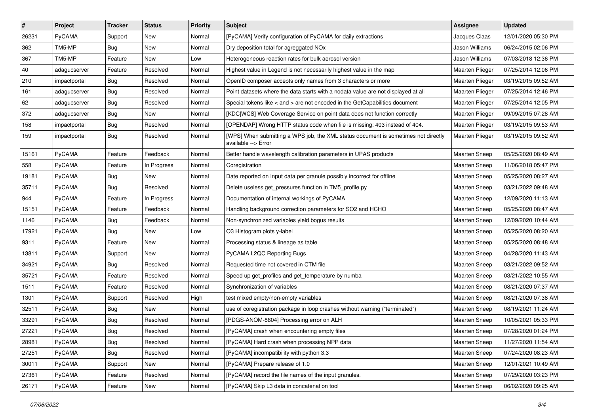| $\vert$ # | Project       | <b>Tracker</b> | <b>Status</b> | <b>Priority</b> | <b>Subject</b>                                                                                            | Assignee             | <b>Updated</b>      |
|-----------|---------------|----------------|---------------|-----------------|-----------------------------------------------------------------------------------------------------------|----------------------|---------------------|
| 26231     | PyCAMA        | Support        | New           | Normal          | [PyCAMA] Verify configuration of PyCAMA for daily extractions                                             | Jacques Claas        | 12/01/2020 05:30 PM |
| 362       | TM5-MP        | Bug            | <b>New</b>    | Normal          | Dry deposition total for agreggated NOx                                                                   | Jason Williams       | 06/24/2015 02:06 PM |
| 367       | TM5-MP        | Feature        | New           | Low             | Heterogeneous reaction rates for bulk aerosol version                                                     | Jason Williams       | 07/03/2018 12:36 PM |
| 40        | adagucserver  | Feature        | Resolved      | Normal          | Highest value in Legend is not necessarily highest value in the map                                       | Maarten Plieger      | 07/25/2014 12:06 PM |
| 210       | impactportal  | Bug            | Resolved      | Normal          | OpenID composer accepts only names from 3 characters or more                                              | Maarten Plieger      | 03/19/2015 09:52 AM |
| 161       | adagucserver  | Bug            | Resolved      | Normal          | Point datasets where the data starts with a nodata value are not displayed at all                         | Maarten Plieger      | 07/25/2014 12:46 PM |
| 62        | adagucserver  | <b>Bug</b>     | Resolved      | Normal          | Special tokens like < and > are not encoded in the GetCapabilities document                               | Maarten Plieger      | 07/25/2014 12:05 PM |
| 372       | adagucserver  | Bug            | New           | Normal          | [KDC WCS] Web Coverage Service on point data does not function correctly                                  | Maarten Plieger      | 09/09/2015 07:28 AM |
| 158       | impactportal  | <b>Bug</b>     | Resolved      | Normal          | [OPENDAP] Wrong HTTP status code when file is missing: 403 instead of 404.                                | Maarten Plieger      | 03/19/2015 09:53 AM |
| 159       | impactportal  | Bug            | Resolved      | Normal          | [WPS] When submitting a WPS job, the XML status document is sometimes not directly<br>available --> Error | Maarten Plieger      | 03/19/2015 09:52 AM |
| 15161     | PyCAMA        | Feature        | Feedback      | Normal          | Better handle wavelength calibration parameters in UPAS products                                          | Maarten Sneep        | 05/25/2020 08:49 AM |
| 558       | PyCAMA        | Feature        | In Progress   | Normal          | Coregistration                                                                                            | Maarten Sneep        | 11/06/2018 05:47 PM |
| 19181     | PyCAMA        | <b>Bug</b>     | New           | Normal          | Date reported on Input data per granule possibly incorrect for offline                                    | <b>Maarten Sneep</b> | 05/25/2020 08:27 AM |
| 35711     | PyCAMA        | Bug            | Resolved      | Normal          | Delete useless get pressures function in TM5 profile.py                                                   | <b>Maarten Sneep</b> | 03/21/2022 09:48 AM |
| 944       | PyCAMA        | Feature        | In Progress   | Normal          | Documentation of internal workings of PyCAMA                                                              | <b>Maarten Sneep</b> | 12/09/2020 11:13 AM |
| 15151     | PyCAMA        | Feature        | Feedback      | Normal          | Handling background correction parameters for SO2 and HCHO                                                | <b>Maarten Sneep</b> | 05/25/2020 08:47 AM |
| 1146      | PyCAMA        | Bug            | Feedback      | Normal          | Non-synchronized variables yield bogus results                                                            | Maarten Sneep        | 12/09/2020 10:44 AM |
| 17921     | PyCAMA        | <b>Bug</b>     | New           | Low             | O3 Histogram plots y-label                                                                                | <b>Maarten Sneep</b> | 05/25/2020 08:20 AM |
| 9311      | PyCAMA        | Feature        | New           | Normal          | Processing status & lineage as table                                                                      | <b>Maarten Sneep</b> | 05/25/2020 08:48 AM |
| 13811     | PyCAMA        | Support        | New           | Normal          | PyCAMA L2QC Reporting Bugs                                                                                | Maarten Sneep        | 04/28/2020 11:43 AM |
| 34921     | PyCAMA        | <b>Bug</b>     | Resolved      | Normal          | Requested time not covered in CTM file                                                                    | <b>Maarten Sneep</b> | 03/21/2022 09:52 AM |
| 35721     | PyCAMA        | Feature        | Resolved      | Normal          | Speed up get_profiles and get_temperature by numba                                                        | <b>Maarten Sneep</b> | 03/21/2022 10:55 AM |
| 1511      | PyCAMA        | Feature        | Resolved      | Normal          | Synchronization of variables                                                                              | <b>Maarten Sneep</b> | 08/21/2020 07:37 AM |
| 1301      | PyCAMA        | Support        | Resolved      | High            | test mixed empty/non-empty variables                                                                      | <b>Maarten Sneep</b> | 08/21/2020 07:38 AM |
| 32511     | PyCAMA        | Bug            | <b>New</b>    | Normal          | use of coregistration package in loop crashes without warning ("terminated")                              | Maarten Sneep        | 08/19/2021 11:24 AM |
| 33291     | <b>PyCAMA</b> | Bug            | Resolved      | Normal          | [PDGS-ANOM-8804] Processing error on ALH                                                                  | <b>Maarten Sneep</b> | 10/05/2021 05:33 PM |
| 27221     | <b>PyCAMA</b> | Bug            | Resolved      | Normal          | [PyCAMA] crash when encountering empty files                                                              | Maarten Sneep        | 07/28/2020 01:24 PM |
| 28981     | PyCAMA        | <b>Bug</b>     | Resolved      | Normal          | [PyCAMA] Hard crash when processing NPP data                                                              | Maarten Sneep        | 11/27/2020 11:54 AM |
| 27251     | PyCAMA        | <b>Bug</b>     | Resolved      | Normal          | [PyCAMA] incompatibility with python 3.3                                                                  | Maarten Sneep        | 07/24/2020 08:23 AM |
| 30011     | PyCAMA        | Support        | New           | Normal          | [PyCAMA] Prepare release of 1.0                                                                           | Maarten Sneep        | 12/01/2021 10:49 AM |
| 27361     | PyCAMA        | Feature        | Resolved      | Normal          | [PyCAMA] record the file names of the input granules.                                                     | Maarten Sneep        | 07/29/2020 03:23 PM |
| 26171     | PyCAMA        | Feature        | New           | Normal          | [PyCAMA] Skip L3 data in concatenation tool                                                               | Maarten Sneep        | 06/02/2020 09:25 AM |